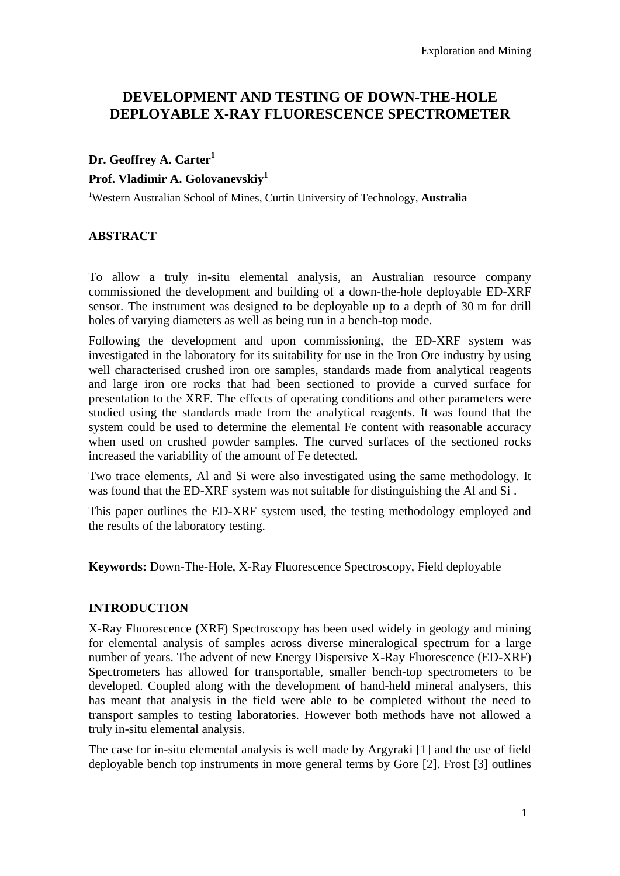# **DEVELOPMENT AND TESTING OF DOWN-THE-HOLE DEPLOYABLE X-RAY FLUORESCENCE SPECTROMETER**

# **Dr. Geoffrey A. Carter<sup>1</sup>**

#### **Prof. Vladimir A. Golovanevskiy<sup>1</sup>**

<sup>1</sup>Western Australian School of Mines, Curtin University of Technology, **Australia**

## **ABSTRACT**

To allow a truly in-situ elemental analysis, an Australian resource company commissioned the development and building of a down-the-hole deployable ED-XRF sensor. The instrument was designed to be deployable up to a depth of 30 m for drill holes of varying diameters as well as being run in a bench-top mode.

Following the development and upon commissioning, the ED-XRF system was investigated in the laboratory for its suitability for use in the Iron Ore industry by using well characterised crushed iron ore samples, standards made from analytical reagents and large iron ore rocks that had been sectioned to provide a curved surface for presentation to the XRF. The effects of operating conditions and other parameters were studied using the standards made from the analytical reagents. It was found that the system could be used to determine the elemental Fe content with reasonable accuracy when used on crushed powder samples. The curved surfaces of the sectioned rocks increased the variability of the amount of Fe detected.

Two trace elements, Al and Si were also investigated using the same methodology. It was found that the ED-XRF system was not suitable for distinguishing the Al and Si .

This paper outlines the ED-XRF system used, the testing methodology employed and the results of the laboratory testing.

**Keywords:** Down-The-Hole, X-Ray Fluorescence Spectroscopy, Field deployable

### **INTRODUCTION**

X-Ray Fluorescence (XRF) Spectroscopy has been used widely in geology and mining for elemental analysis of samples across diverse mineralogical spectrum for a large number of years. The advent of new Energy Dispersive X-Ray Fluorescence (ED-XRF) Spectrometers has allowed for transportable, smaller bench-top spectrometers to be developed. Coupled along with the development of hand-held mineral analysers, this has meant that analysis in the field were able to be completed without the need to transport samples to testing laboratories. However both methods have not allowed a truly in-situ elemental analysis.

The case for in-situ elemental analysis is well made by Argyraki [1] and the use of field deployable bench top instruments in more general terms by Gore [2]. Frost [3] outlines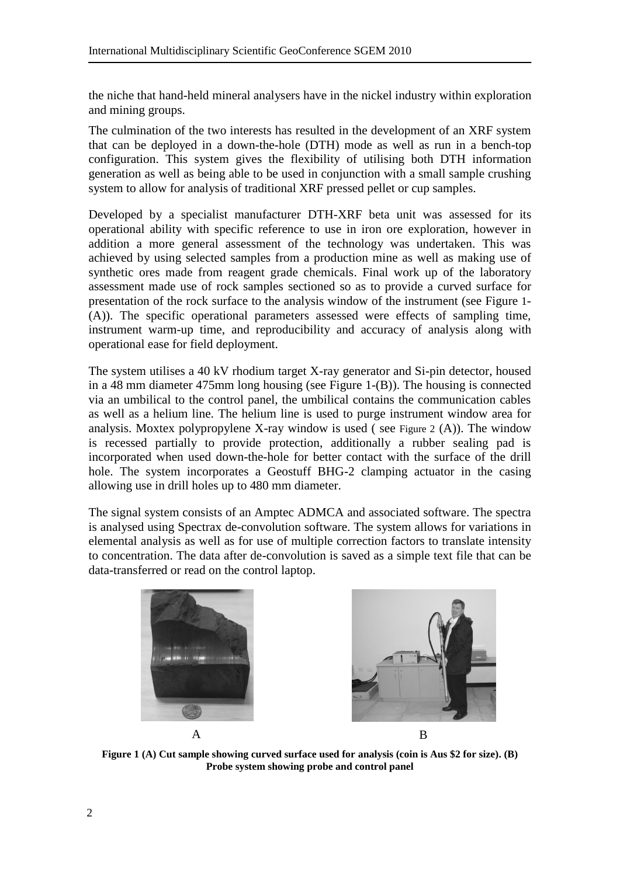the niche that hand-held mineral analysers have in the nickel industry within exploration and mining groups.

The culmination of the two interests has resulted in the development of an XRF system that can be deployed in a down-the-hole (DTH) mode as well as run in a bench-top configuration. This system gives the flexibility of utilising both DTH information generation as well as being able to be used in conjunction with a small sample crushing system to allow for analysis of traditional XRF pressed pellet or cup samples.

Developed by a specialist manufacturer DTH-XRF beta unit was assessed for its operational ability with specific reference to use in iron ore exploration, however in addition a more general assessment of the technology was undertaken. This was achieved by using selected samples from a production mine as well as making use of synthetic ores made from reagent grade chemicals. Final work up of the laboratory assessment made use of rock samples sectioned so as to provide a curved surface for presentation of the rock surface to the analysis window of the instrument (see [Figure](#page-1-0) 1- (A)). The specific operational parameters assessed were effects of sampling time, instrument warm-up time, and reproducibility and accuracy of analysis along with operational ease for field deployment.

The system utilises a 40 kV rhodium target X-ray generator and Si-pin detector, housed in a 48 mm diameter 475mm long housing (see [Figure 1-](#page-1-0)(B)). The housing is connected via an umbilical to the control panel, the umbilical contains the communication cables as well as a helium line. The helium line is used to purge instrument window area for analysis. Moxtex polypropylene X-ray window is used ( see [Figure 2](#page-2-0) (A)). The window is recessed partially to provide protection, additionally a rubber sealing pad is incorporated when used down-the-hole for better contact with the surface of the drill hole. The system incorporates a Geostuff BHG-2 clamping actuator in the casing allowing use in drill holes up to 480 mm diameter.

The signal system consists of an Amptec ADMCA and associated software. The spectra is analysed using Spectrax de-convolution software. The system allows for variations in elemental analysis as well as for use of multiple correction factors to translate intensity to concentration. The data after de-convolution is saved as a simple text file that can be data-transferred or read on the control laptop.

<span id="page-1-0"></span>

**Figure 1 (A) Cut sample showing curved surface used for analysis (coin is Aus \$2 for size). (B) Probe system showing probe and control panel**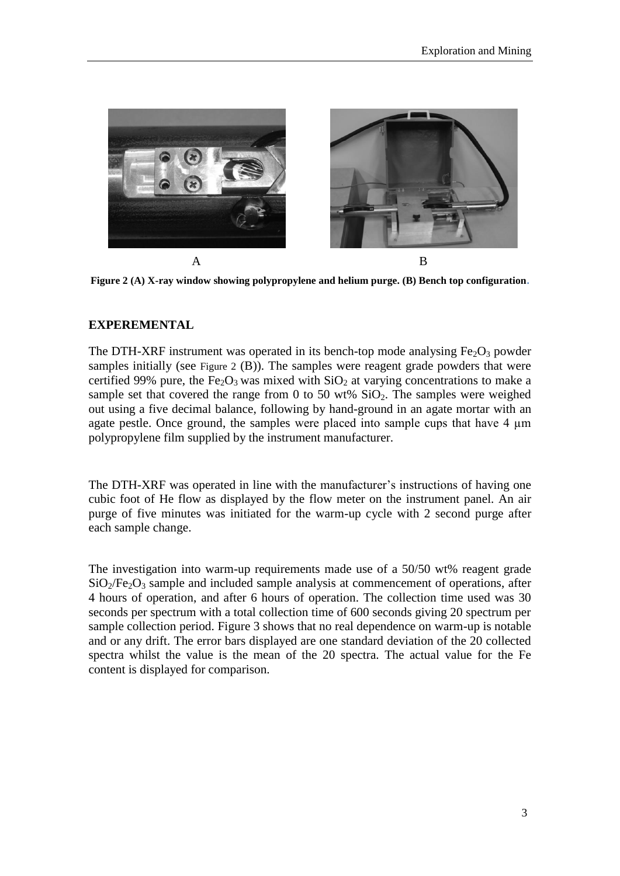

**Figure 2 (A) X-ray window showing polypropylene and helium purge. (B) Bench top configuration.**

#### <span id="page-2-0"></span>**EXPEREMENTAL**

The DTH-XRF instrument was operated in its bench-top mode analysing  $Fe<sub>2</sub>O<sub>3</sub>$  powder samples initially (see [Figure 2](#page-2-0) (B)). The samples were reagent grade powders that were certified 99% pure, the Fe<sub>2</sub>O<sub>3</sub> was mixed with  $SiO<sub>2</sub>$  at varying concentrations to make a sample set that covered the range from 0 to 50 wt%  $SiO<sub>2</sub>$ . The samples were weighed out using a five decimal balance, following by hand-ground in an agate mortar with an agate pestle. Once ground, the samples were placed into sample cups that have 4  $\mu$ m polypropylene film supplied by the instrument manufacturer.

The DTH-XRF was operated in line with the manufacturer's instructions of having one cubic foot of He flow as displayed by the flow meter on the instrument panel. An air purge of five minutes was initiated for the warm-up cycle with 2 second purge after each sample change.

The investigation into warm-up requirements made use of a 50/50 wt% reagent grade  $SiO<sub>2</sub>/Fe<sub>2</sub>O<sub>3</sub>$  sample and included sample analysis at commencement of operations, after 4 hours of operation, and after 6 hours of operation. The collection time used was 30 seconds per spectrum with a total collection time of 600 seconds giving 20 spectrum per sample collection period. [Figure 3](#page-3-0) shows that no real dependence on warm-up is notable and or any drift. The error bars displayed are one standard deviation of the 20 collected spectra whilst the value is the mean of the 20 spectra. The actual value for the Fe content is displayed for comparison.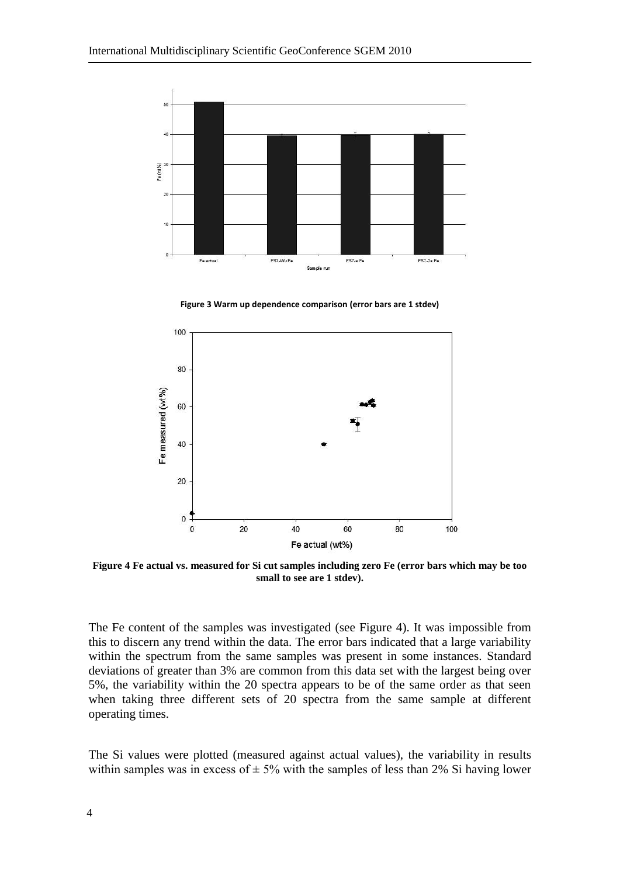

**Figure 3 Warm up dependence comparison (error bars are 1 stdev)**

<span id="page-3-0"></span>

<span id="page-3-1"></span>**Figure 4 Fe actual vs. measured for Si cut samples including zero Fe (error bars which may be too small to see are 1 stdev).**

The Fe content of the samples was investigated (see [Figure 4\)](#page-3-1). It was impossible from this to discern any trend within the data. The error bars indicated that a large variability within the spectrum from the same samples was present in some instances. Standard deviations of greater than 3% are common from this data set with the largest being over 5%, the variability within the 20 spectra appears to be of the same order as that seen when taking three different sets of 20 spectra from the same sample at different operating times.

The Si values were plotted (measured against actual values), the variability in results within samples was in excess of  $\pm$  5% with the samples of less than 2% Si having lower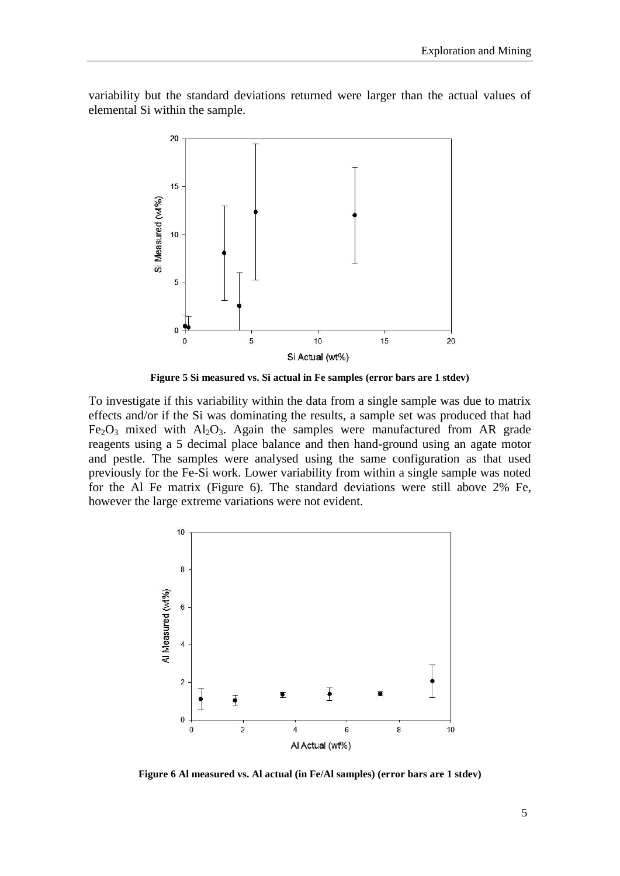variability but the standard deviations returned were larger than the actual values of elemental Si within the sample.



**Figure 5 Si measured vs. Si actual in Fe samples (error bars are 1 stdev)**

To investigate if this variability within the data from a single sample was due to matrix effects and/or if the Si was dominating the results, a sample set was produced that had  $Fe<sub>2</sub>O<sub>3</sub>$  mixed with  $Al<sub>2</sub>O<sub>3</sub>$ . Again the samples were manufactured from AR grade reagents using a 5 decimal place balance and then hand-ground using an agate motor and pestle. The samples were analysed using the same configuration as that used previously for the Fe-Si work. Lower variability from within a single sample was noted for the Al Fe matrix [\(Figure 6\)](#page-4-0). The standard deviations were still above 2% Fe, however the large extreme variations were not evident.



<span id="page-4-0"></span>**Figure 6 Al measured vs. Al actual (in Fe/Al samples) (error bars are 1 stdev)**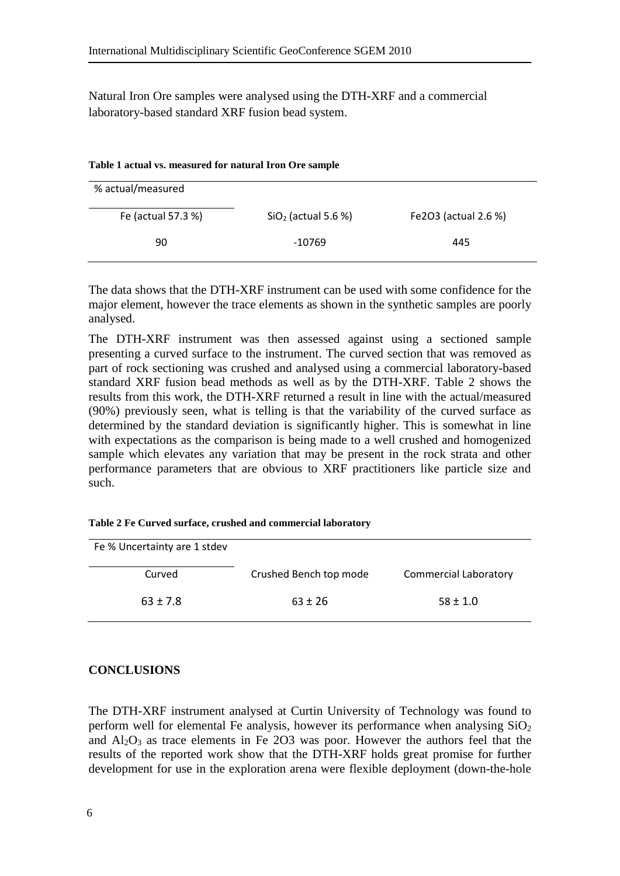Natural Iron Ore samples were analysed using the DTH-XRF and a commercial laboratory-based standard XRF fusion bead system.

| % actual/measured  |                       |                      |
|--------------------|-----------------------|----------------------|
| Fe (actual 57.3 %) | $SiO2$ (actual 5.6 %) | Fe2O3 (actual 2.6 %) |
| 90                 | -10769                | 445                  |

| Table 1 actual vs. measured for natural Iron Ore sample |  |  |
|---------------------------------------------------------|--|--|
|---------------------------------------------------------|--|--|

The data shows that the DTH-XRF instrument can be used with some confidence for the major element, however the trace elements as shown in the synthetic samples are poorly analysed.

The DTH-XRF instrument was then assessed against using a sectioned sample presenting a curved surface to the instrument. The curved section that was removed as part of rock sectioning was crushed and analysed using a commercial laboratory-based standard XRF fusion bead methods as well as by the DTH-XRF. [Table 2](#page-5-0) shows the results from this work, the DTH-XRF returned a result in line with the actual/measured (90%) previously seen, what is telling is that the variability of the curved surface as determined by the standard deviation is significantly higher. This is somewhat in line with expectations as the comparison is being made to a well crushed and homogenized sample which elevates any variation that may be present in the rock strata and other performance parameters that are obvious to XRF practitioners like particle size and such.

<span id="page-5-0"></span>

| Table 2 Fe Curved surface, crushed and commercial laboratory |  |  |  |
|--------------------------------------------------------------|--|--|--|
|--------------------------------------------------------------|--|--|--|

| Fe % Uncertainty are 1 stdev |                        |                              |
|------------------------------|------------------------|------------------------------|
| Curved                       | Crushed Bench top mode | <b>Commercial Laboratory</b> |
| $63 \pm 7.8$                 | $63 \pm 26$            | $58 \pm 1.0$                 |

#### **CONCLUSIONS**

The DTH-XRF instrument analysed at Curtin University of Technology was found to perform well for elemental Fe analysis, however its performance when analysing  $SiO<sub>2</sub>$ and  $Al_2O_3$  as trace elements in Fe 2O3 was poor. However the authors feel that the results of the reported work show that the DTH-XRF holds great promise for further development for use in the exploration arena were flexible deployment (down-the-hole